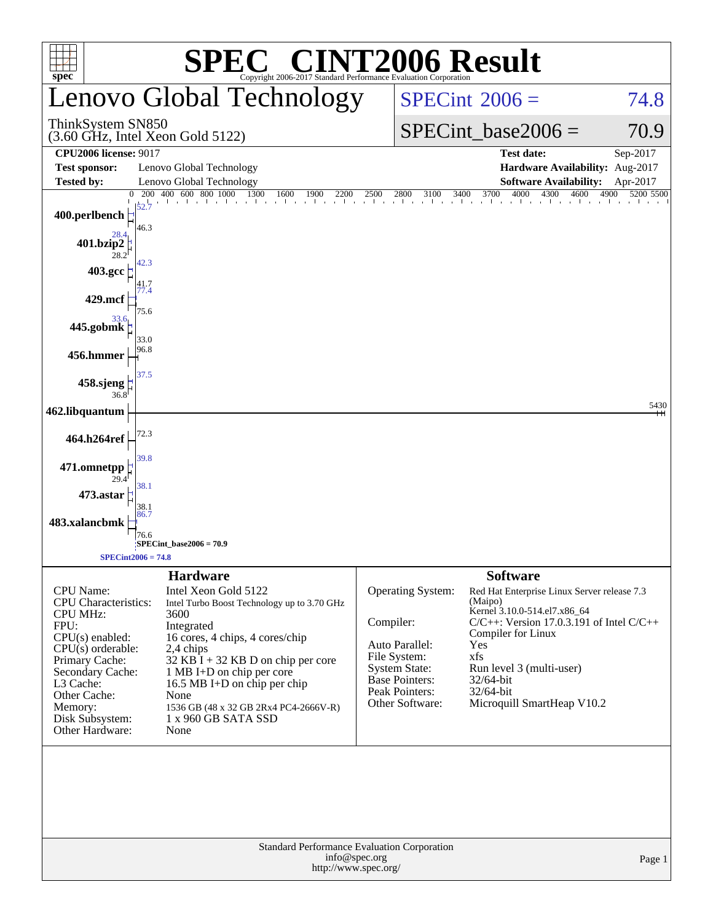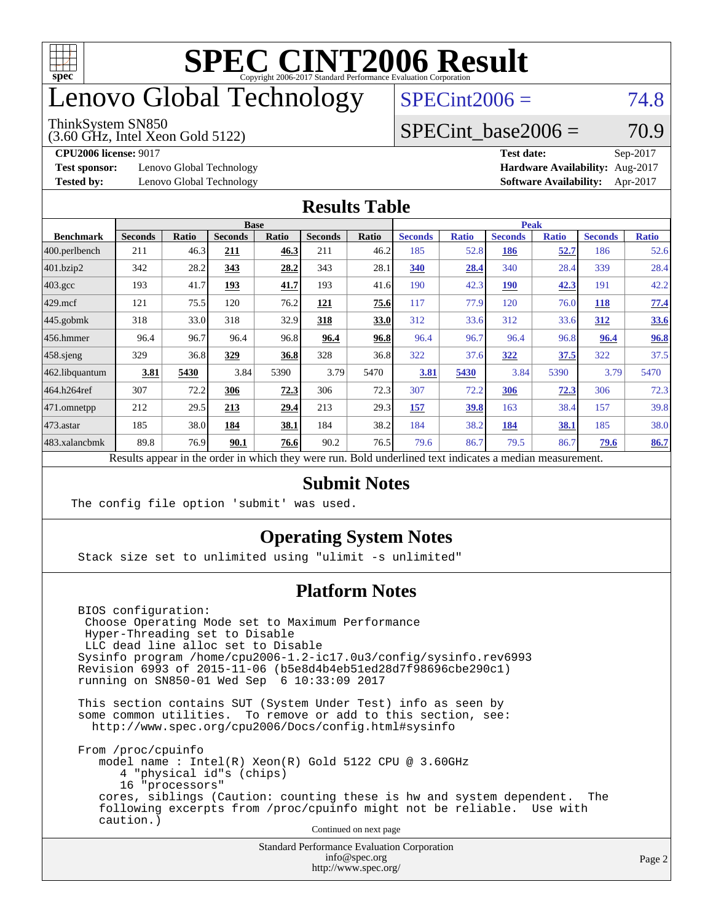

### enovo Global Technology

#### ThinkSystem SN850

(3.60 GHz, Intel Xeon Gold 5122)

 $SPECint2006 = 74.8$  $SPECint2006 = 74.8$ 

### SPECint base2006 =  $70.9$

**[Test sponsor:](http://www.spec.org/auto/cpu2006/Docs/result-fields.html#Testsponsor)** Lenovo Global Technology **[Hardware Availability:](http://www.spec.org/auto/cpu2006/Docs/result-fields.html#HardwareAvailability)** Aug-2017

**[CPU2006 license:](http://www.spec.org/auto/cpu2006/Docs/result-fields.html#CPU2006license)** 9017 **[Test date:](http://www.spec.org/auto/cpu2006/Docs/result-fields.html#Testdate)** Sep-2017 **[Tested by:](http://www.spec.org/auto/cpu2006/Docs/result-fields.html#Testedby)** Lenovo Global Technology **[Software Availability:](http://www.spec.org/auto/cpu2006/Docs/result-fields.html#SoftwareAvailability)** Apr-2017

#### **[Results Table](http://www.spec.org/auto/cpu2006/Docs/result-fields.html#ResultsTable)**

|                                                                                                          | <b>Base</b>    |              |                |       |                | <b>Peak</b> |                |              |                |              |                |              |
|----------------------------------------------------------------------------------------------------------|----------------|--------------|----------------|-------|----------------|-------------|----------------|--------------|----------------|--------------|----------------|--------------|
| <b>Benchmark</b>                                                                                         | <b>Seconds</b> | <b>Ratio</b> | <b>Seconds</b> | Ratio | <b>Seconds</b> | Ratio       | <b>Seconds</b> | <b>Ratio</b> | <b>Seconds</b> | <b>Ratio</b> | <b>Seconds</b> | <b>Ratio</b> |
| 400.perlbench                                                                                            | 211            | 46.3         | 211            | 46.3  | 211            | 46.2        | 185            | 52.8         | 186            | 52.7         | 186            | 52.6         |
| 401.bzip2                                                                                                | 342            | 28.2         | 343            | 28.2  | 343            | 28.1        | 340            | 28.4         | 340            | 28.4         | 339            | 28.4         |
| $403.\mathrm{gcc}$                                                                                       | 193            | 41.7         | 193            | 41.7  | 193            | 41.6        | 190            | 42.3         | 190            | 42.3         | 191            | 42.2         |
| $429$ mcf                                                                                                | 121            | 75.5         | 120            | 76.2  | 121            | 75.6        | 117            | 77.9         | 120            | 76.0         | <b>118</b>     | 77.4         |
| $445$ .gobmk                                                                                             | 318            | 33.0         | 318            | 32.9  | 318            | 33.0        | 312            | 33.6         | 312            | 33.6         | 312            | 33.6         |
| 456.hmmer                                                                                                | 96.4           | 96.7         | 96.4           | 96.8  | 96.4           | 96.8        | 96.4           | 96.7         | 96.4           | 96.8         | 96.4           | 96.8         |
| $458$ .sjeng                                                                                             | 329            | 36.8         | 329            | 36.8  | 328            | 36.8        | 322            | 37.6         | 322            | 37.5         | 322            | 37.5         |
| 462.libquantum                                                                                           | 3.81           | 5430         | 3.84           | 5390  | 3.79           | 5470        | 3.81           | 5430         | 3.84           | 5390         | 3.79           | 5470         |
| 464.h264ref                                                                                              | 307            | 72.2         | 306            | 72.3  | 306            | 72.3        | 307            | 72.2         | 306            | 72.3         | 306            | 72.3         |
| $ 471$ .omnetpp                                                                                          | 212            | 29.5         | 213            | 29.4  | 213            | 29.3        | 157            | 39.8         | 163            | 38.4         | 157            | 39.8         |
| $473.$ astar                                                                                             | 185            | 38.0         | 184            | 38.1  | 184            | 38.2        | 184            | 38.2         | 184            | 38.1         | 185            | 38.0         |
| 483.xalancbmk                                                                                            | 89.8           | 76.9         | 90.1           | 76.6  | 90.2           | 76.5        | 79.6           | 86.7         | 79.5           | 86.7         | 79.6           | 86.7         |
| Results appear in the order in which they were run. Bold underlined text indicates a median measurement. |                |              |                |       |                |             |                |              |                |              |                |              |

**[Submit Notes](http://www.spec.org/auto/cpu2006/Docs/result-fields.html#SubmitNotes)**

The config file option 'submit' was used.

### **[Operating System Notes](http://www.spec.org/auto/cpu2006/Docs/result-fields.html#OperatingSystemNotes)**

Stack size set to unlimited using "ulimit -s unlimited"

#### **[Platform Notes](http://www.spec.org/auto/cpu2006/Docs/result-fields.html#PlatformNotes)**

 BIOS configuration: Choose Operating Mode set to Maximum Performance Hyper-Threading set to Disable LLC dead line alloc set to Disable Sysinfo program /home/cpu2006-1.2-ic17.0u3/config/sysinfo.rev6993 Revision 6993 of 2015-11-06 (b5e8d4b4eb51ed28d7f98696cbe290c1) running on SN850-01 Wed Sep 6 10:33:09 2017

 This section contains SUT (System Under Test) info as seen by some common utilities. To remove or add to this section, see: <http://www.spec.org/cpu2006/Docs/config.html#sysinfo>

 From /proc/cpuinfo model name : Intel(R) Xeon(R) Gold 5122 CPU @ 3.60GHz 4 "physical id"s (chips) 16 "processors" cores, siblings (Caution: counting these is hw and system dependent. The following excerpts from /proc/cpuinfo might not be reliable. Use with caution.)

Continued on next page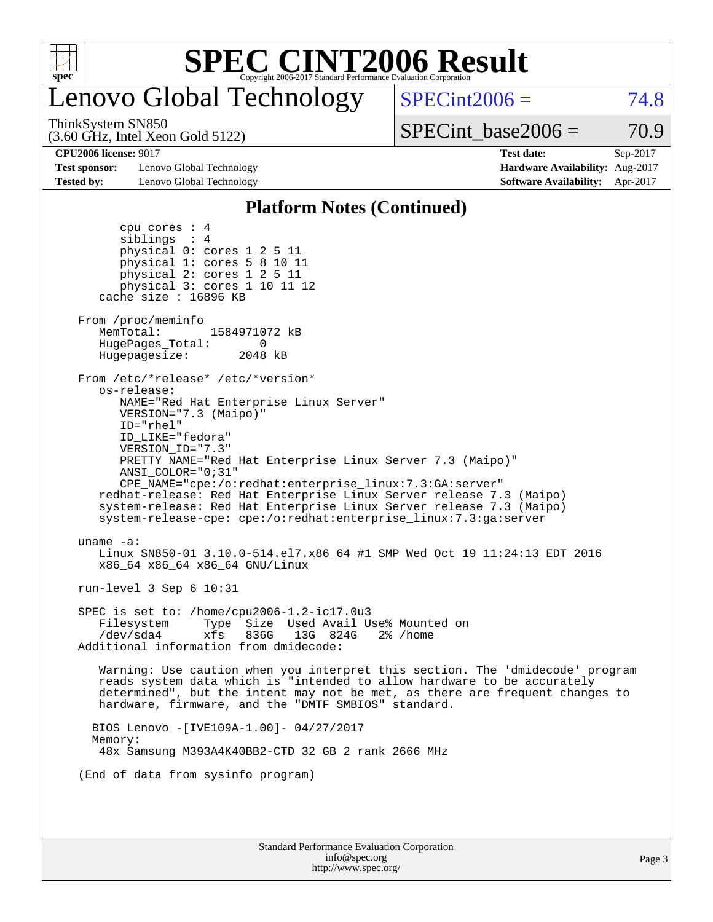

## Lenovo Global Technology

 $SPECint2006 = 74.8$  $SPECint2006 = 74.8$ 

(3.60 GHz, Intel Xeon Gold 5122) ThinkSystem SN850

 $SPECTnt\_base2006 = 70.9$ 

**[Test sponsor:](http://www.spec.org/auto/cpu2006/Docs/result-fields.html#Testsponsor)** Lenovo Global Technology **[Hardware Availability:](http://www.spec.org/auto/cpu2006/Docs/result-fields.html#HardwareAvailability)** Aug-2017 **[Tested by:](http://www.spec.org/auto/cpu2006/Docs/result-fields.html#Testedby)** Lenovo Global Technology **[Software Availability:](http://www.spec.org/auto/cpu2006/Docs/result-fields.html#SoftwareAvailability)** Apr-2017

**[CPU2006 license:](http://www.spec.org/auto/cpu2006/Docs/result-fields.html#CPU2006license)** 9017 **[Test date:](http://www.spec.org/auto/cpu2006/Docs/result-fields.html#Testdate)** Sep-2017

#### **[Platform Notes \(Continued\)](http://www.spec.org/auto/cpu2006/Docs/result-fields.html#PlatformNotes)**

| Standard Performance Evaluation Corporation<br>info@spec.org<br>http://www.spec.org/                                                                                                                                                                                                            | Page 3 |
|-------------------------------------------------------------------------------------------------------------------------------------------------------------------------------------------------------------------------------------------------------------------------------------------------|--------|
|                                                                                                                                                                                                                                                                                                 |        |
| (End of data from sysinfo program)                                                                                                                                                                                                                                                              |        |
| Memory:<br>48x Samsung M393A4K40BB2-CTD 32 GB 2 rank 2666 MHz                                                                                                                                                                                                                                   |        |
| BIOS Lenovo - [IVE109A-1.00] - 04/27/2017                                                                                                                                                                                                                                                       |        |
| Warning: Use caution when you interpret this section. The 'dmidecode' program<br>reads system data which is "intended to allow hardware to be accurately<br>determined", but the intent may not be met, as there are frequent changes to<br>hardware, firmware, and the "DMTF SMBIOS" standard. |        |
| SPEC is set to: /home/cpu2006-1.2-ic17.0u3<br>Type Size Used Avail Use% Mounted on<br>Filesystem<br>/dev/sda4<br>xfs<br>836G 13G 824G<br>$2\%$ /home<br>Additional information from dmidecode:                                                                                                  |        |
| run-level $3$ Sep $6$ 10:31                                                                                                                                                                                                                                                                     |        |
| uname $-a$ :<br>Linux SN850-01 3.10.0-514.el7.x86_64 #1 SMP Wed Oct 19 11:24:13 EDT 2016<br>x86_64 x86_64 x86_64 GNU/Linux                                                                                                                                                                      |        |
| ANSI COLOR="0;31"<br>CPE NAME="cpe:/o:redhat:enterprise linux:7.3:GA:server"<br>redhat-release: Red Hat Enterprise Linux Server release 7.3 (Maipo)<br>system-release: Red Hat Enterprise Linux Server release 7.3 (Maipo)<br>system-release-cpe: cpe:/o:redhat:enterprise_linux:7.3:ga:server  |        |
| ID LIKE="fedora"<br>VERSION ID="7.3"<br>PRETTY_NAME="Red Hat Enterprise Linux Server 7.3 (Maipo)"                                                                                                                                                                                               |        |
| os-release:<br>NAME="Red Hat Enterprise Linux Server"<br>$VERSION = "7.3 (Maino)"$<br>ID="rhel"                                                                                                                                                                                                 |        |
| From /etc/*release* /etc/*version*                                                                                                                                                                                                                                                              |        |
| From /proc/meminfo<br>MemTotal:<br>1584971072 kB<br>HugePages_Total:<br>- 0<br>Hugepagesize:<br>2048 kB                                                                                                                                                                                         |        |
| siblings : 4<br>physical 0: cores 1 2 5 11<br>physical 1: cores 5 8 10 11<br>physical 2: cores 1 2 5 11<br>physical 3: cores 1 10 11 12<br>cache size : 16896 KB                                                                                                                                |        |
| cpu cores $: 4$                                                                                                                                                                                                                                                                                 |        |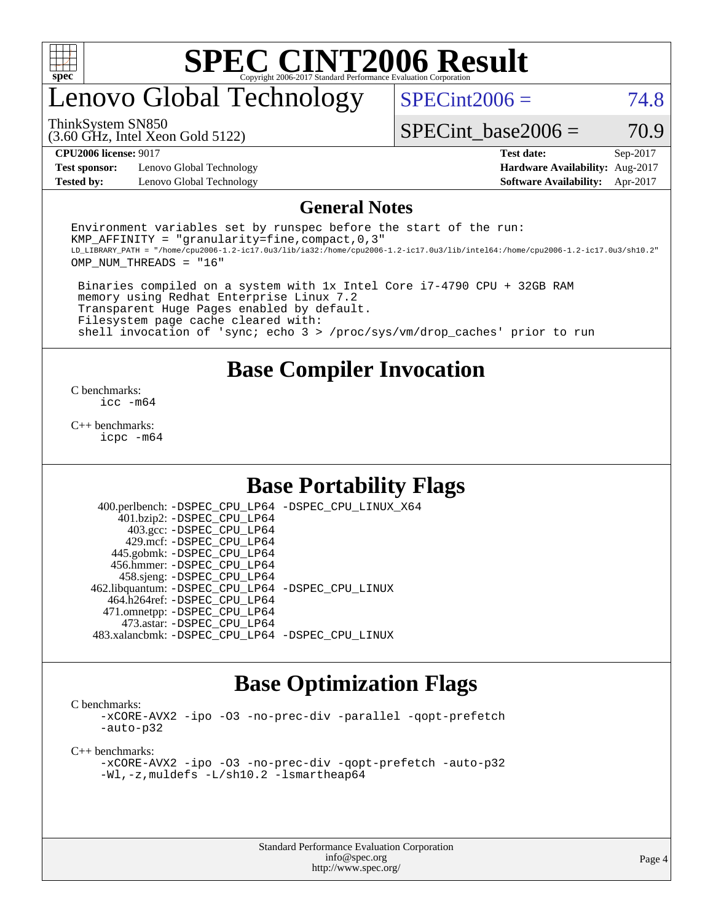

### enovo Global Technology

 $SPECint2006 = 74.8$  $SPECint2006 = 74.8$ 

ThinkSystem SN850

(3.60 GHz, Intel Xeon Gold 5122)

**[Test sponsor:](http://www.spec.org/auto/cpu2006/Docs/result-fields.html#Testsponsor)** Lenovo Global Technology **[Hardware Availability:](http://www.spec.org/auto/cpu2006/Docs/result-fields.html#HardwareAvailability)** Aug-2017

SPECint base2006 =  $70.9$ 

**[CPU2006 license:](http://www.spec.org/auto/cpu2006/Docs/result-fields.html#CPU2006license)** 9017 **[Test date:](http://www.spec.org/auto/cpu2006/Docs/result-fields.html#Testdate)** Sep-2017 **[Tested by:](http://www.spec.org/auto/cpu2006/Docs/result-fields.html#Testedby)** Lenovo Global Technology **[Software Availability:](http://www.spec.org/auto/cpu2006/Docs/result-fields.html#SoftwareAvailability)** Apr-2017

#### **[General Notes](http://www.spec.org/auto/cpu2006/Docs/result-fields.html#GeneralNotes)**

Environment variables set by runspec before the start of the run: KMP AFFINITY = "granularity=fine, compact,  $0,3$ " LD\_LIBRARY\_PATH = "/home/cpu2006-1.2-ic17.0u3/lib/ia32:/home/cpu2006-1.2-ic17.0u3/lib/intel64:/home/cpu2006-1.2-ic17.0u3/sh10.2" OMP\_NUM\_THREADS = "16"

 Binaries compiled on a system with 1x Intel Core i7-4790 CPU + 32GB RAM memory using Redhat Enterprise Linux 7.2 Transparent Huge Pages enabled by default. Filesystem page cache cleared with: shell invocation of 'sync; echo 3 > /proc/sys/vm/drop\_caches' prior to run

### **[Base Compiler Invocation](http://www.spec.org/auto/cpu2006/Docs/result-fields.html#BaseCompilerInvocation)**

[C benchmarks](http://www.spec.org/auto/cpu2006/Docs/result-fields.html#Cbenchmarks): [icc -m64](http://www.spec.org/cpu2006/results/res2017q4/cpu2006-20170918-50015.flags.html#user_CCbase_intel_icc_64bit_bda6cc9af1fdbb0edc3795bac97ada53)

[C++ benchmarks:](http://www.spec.org/auto/cpu2006/Docs/result-fields.html#CXXbenchmarks) [icpc -m64](http://www.spec.org/cpu2006/results/res2017q4/cpu2006-20170918-50015.flags.html#user_CXXbase_intel_icpc_64bit_fc66a5337ce925472a5c54ad6a0de310)

### **[Base Portability Flags](http://www.spec.org/auto/cpu2006/Docs/result-fields.html#BasePortabilityFlags)**

 400.perlbench: [-DSPEC\\_CPU\\_LP64](http://www.spec.org/cpu2006/results/res2017q4/cpu2006-20170918-50015.flags.html#b400.perlbench_basePORTABILITY_DSPEC_CPU_LP64) [-DSPEC\\_CPU\\_LINUX\\_X64](http://www.spec.org/cpu2006/results/res2017q4/cpu2006-20170918-50015.flags.html#b400.perlbench_baseCPORTABILITY_DSPEC_CPU_LINUX_X64) 401.bzip2: [-DSPEC\\_CPU\\_LP64](http://www.spec.org/cpu2006/results/res2017q4/cpu2006-20170918-50015.flags.html#suite_basePORTABILITY401_bzip2_DSPEC_CPU_LP64) 403.gcc: [-DSPEC\\_CPU\\_LP64](http://www.spec.org/cpu2006/results/res2017q4/cpu2006-20170918-50015.flags.html#suite_basePORTABILITY403_gcc_DSPEC_CPU_LP64) 429.mcf: [-DSPEC\\_CPU\\_LP64](http://www.spec.org/cpu2006/results/res2017q4/cpu2006-20170918-50015.flags.html#suite_basePORTABILITY429_mcf_DSPEC_CPU_LP64) 445.gobmk: [-DSPEC\\_CPU\\_LP64](http://www.spec.org/cpu2006/results/res2017q4/cpu2006-20170918-50015.flags.html#suite_basePORTABILITY445_gobmk_DSPEC_CPU_LP64) 456.hmmer: [-DSPEC\\_CPU\\_LP64](http://www.spec.org/cpu2006/results/res2017q4/cpu2006-20170918-50015.flags.html#suite_basePORTABILITY456_hmmer_DSPEC_CPU_LP64) 458.sjeng: [-DSPEC\\_CPU\\_LP64](http://www.spec.org/cpu2006/results/res2017q4/cpu2006-20170918-50015.flags.html#suite_basePORTABILITY458_sjeng_DSPEC_CPU_LP64) 462.libquantum: [-DSPEC\\_CPU\\_LP64](http://www.spec.org/cpu2006/results/res2017q4/cpu2006-20170918-50015.flags.html#suite_basePORTABILITY462_libquantum_DSPEC_CPU_LP64) [-DSPEC\\_CPU\\_LINUX](http://www.spec.org/cpu2006/results/res2017q4/cpu2006-20170918-50015.flags.html#b462.libquantum_baseCPORTABILITY_DSPEC_CPU_LINUX) 464.h264ref: [-DSPEC\\_CPU\\_LP64](http://www.spec.org/cpu2006/results/res2017q4/cpu2006-20170918-50015.flags.html#suite_basePORTABILITY464_h264ref_DSPEC_CPU_LP64) 471.omnetpp: [-DSPEC\\_CPU\\_LP64](http://www.spec.org/cpu2006/results/res2017q4/cpu2006-20170918-50015.flags.html#suite_basePORTABILITY471_omnetpp_DSPEC_CPU_LP64) 473.astar: [-DSPEC\\_CPU\\_LP64](http://www.spec.org/cpu2006/results/res2017q4/cpu2006-20170918-50015.flags.html#suite_basePORTABILITY473_astar_DSPEC_CPU_LP64) 483.xalancbmk: [-DSPEC\\_CPU\\_LP64](http://www.spec.org/cpu2006/results/res2017q4/cpu2006-20170918-50015.flags.html#suite_basePORTABILITY483_xalancbmk_DSPEC_CPU_LP64) [-DSPEC\\_CPU\\_LINUX](http://www.spec.org/cpu2006/results/res2017q4/cpu2006-20170918-50015.flags.html#b483.xalancbmk_baseCXXPORTABILITY_DSPEC_CPU_LINUX)

### **[Base Optimization Flags](http://www.spec.org/auto/cpu2006/Docs/result-fields.html#BaseOptimizationFlags)**

[C benchmarks](http://www.spec.org/auto/cpu2006/Docs/result-fields.html#Cbenchmarks):

[-xCORE-AVX2](http://www.spec.org/cpu2006/results/res2017q4/cpu2006-20170918-50015.flags.html#user_CCbase_f-xCORE-AVX2) [-ipo](http://www.spec.org/cpu2006/results/res2017q4/cpu2006-20170918-50015.flags.html#user_CCbase_f-ipo) [-O3](http://www.spec.org/cpu2006/results/res2017q4/cpu2006-20170918-50015.flags.html#user_CCbase_f-O3) [-no-prec-div](http://www.spec.org/cpu2006/results/res2017q4/cpu2006-20170918-50015.flags.html#user_CCbase_f-no-prec-div) [-parallel](http://www.spec.org/cpu2006/results/res2017q4/cpu2006-20170918-50015.flags.html#user_CCbase_f-parallel) [-qopt-prefetch](http://www.spec.org/cpu2006/results/res2017q4/cpu2006-20170918-50015.flags.html#user_CCbase_f-qopt-prefetch) [-auto-p32](http://www.spec.org/cpu2006/results/res2017q4/cpu2006-20170918-50015.flags.html#user_CCbase_f-auto-p32)

[C++ benchmarks:](http://www.spec.org/auto/cpu2006/Docs/result-fields.html#CXXbenchmarks)

[-xCORE-AVX2](http://www.spec.org/cpu2006/results/res2017q4/cpu2006-20170918-50015.flags.html#user_CXXbase_f-xCORE-AVX2) [-ipo](http://www.spec.org/cpu2006/results/res2017q4/cpu2006-20170918-50015.flags.html#user_CXXbase_f-ipo) [-O3](http://www.spec.org/cpu2006/results/res2017q4/cpu2006-20170918-50015.flags.html#user_CXXbase_f-O3) [-no-prec-div](http://www.spec.org/cpu2006/results/res2017q4/cpu2006-20170918-50015.flags.html#user_CXXbase_f-no-prec-div) [-qopt-prefetch](http://www.spec.org/cpu2006/results/res2017q4/cpu2006-20170918-50015.flags.html#user_CXXbase_f-qopt-prefetch) [-auto-p32](http://www.spec.org/cpu2006/results/res2017q4/cpu2006-20170918-50015.flags.html#user_CXXbase_f-auto-p32) [-Wl,-z,muldefs](http://www.spec.org/cpu2006/results/res2017q4/cpu2006-20170918-50015.flags.html#user_CXXbase_link_force_multiple1_74079c344b956b9658436fd1b6dd3a8a) [-L/sh10.2 -lsmartheap64](http://www.spec.org/cpu2006/results/res2017q4/cpu2006-20170918-50015.flags.html#user_CXXbase_SmartHeap64_63911d860fc08c15fa1d5bf319b9d8d5)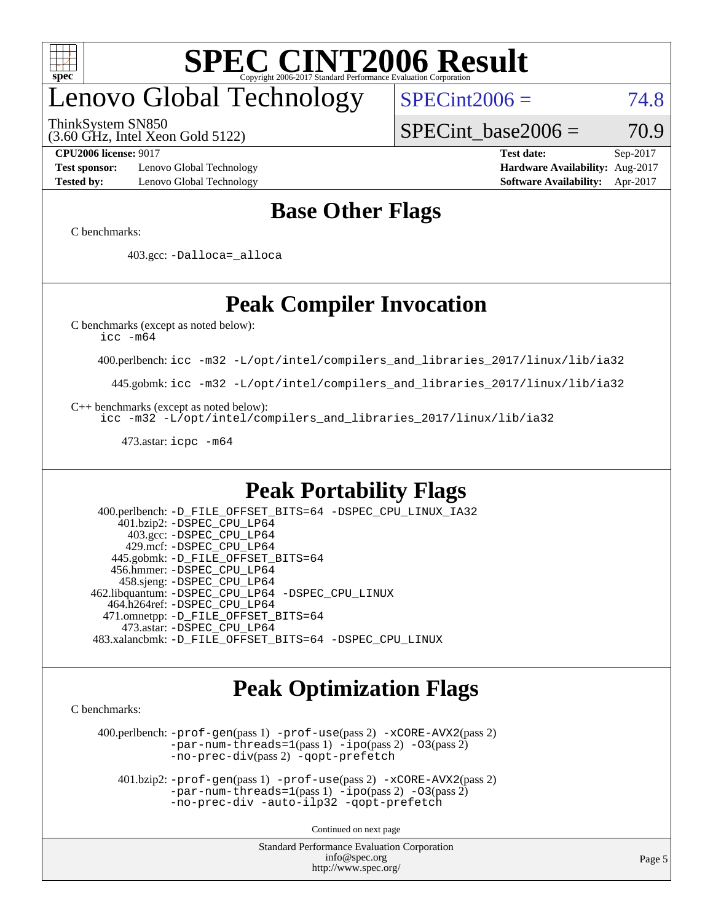

## enovo Global Technology

ThinkSystem SN850

(3.60 GHz, Intel Xeon Gold 5122)

 $SPECint2006 = 74.8$  $SPECint2006 = 74.8$ 

SPECint base2006 =  $70.9$ 

**[Test sponsor:](http://www.spec.org/auto/cpu2006/Docs/result-fields.html#Testsponsor)** Lenovo Global Technology **[Hardware Availability:](http://www.spec.org/auto/cpu2006/Docs/result-fields.html#HardwareAvailability)** Aug-2017 **[Tested by:](http://www.spec.org/auto/cpu2006/Docs/result-fields.html#Testedby)** Lenovo Global Technology **[Software Availability:](http://www.spec.org/auto/cpu2006/Docs/result-fields.html#SoftwareAvailability)** Apr-2017

**[CPU2006 license:](http://www.spec.org/auto/cpu2006/Docs/result-fields.html#CPU2006license)** 9017 **[Test date:](http://www.spec.org/auto/cpu2006/Docs/result-fields.html#Testdate)** Sep-2017

### **[Base Other Flags](http://www.spec.org/auto/cpu2006/Docs/result-fields.html#BaseOtherFlags)**

[C benchmarks](http://www.spec.org/auto/cpu2006/Docs/result-fields.html#Cbenchmarks):

403.gcc: [-Dalloca=\\_alloca](http://www.spec.org/cpu2006/results/res2017q4/cpu2006-20170918-50015.flags.html#b403.gcc_baseEXTRA_CFLAGS_Dalloca_be3056838c12de2578596ca5467af7f3)

### **[Peak Compiler Invocation](http://www.spec.org/auto/cpu2006/Docs/result-fields.html#PeakCompilerInvocation)**

[C benchmarks \(except as noted below\)](http://www.spec.org/auto/cpu2006/Docs/result-fields.html#Cbenchmarksexceptasnotedbelow):

[icc -m64](http://www.spec.org/cpu2006/results/res2017q4/cpu2006-20170918-50015.flags.html#user_CCpeak_intel_icc_64bit_bda6cc9af1fdbb0edc3795bac97ada53)

400.perlbench: [icc -m32 -L/opt/intel/compilers\\_and\\_libraries\\_2017/linux/lib/ia32](http://www.spec.org/cpu2006/results/res2017q4/cpu2006-20170918-50015.flags.html#user_peakCCLD400_perlbench_intel_icc_c29f3ff5a7ed067b11e4ec10a03f03ae)

445.gobmk: [icc -m32 -L/opt/intel/compilers\\_and\\_libraries\\_2017/linux/lib/ia32](http://www.spec.org/cpu2006/results/res2017q4/cpu2006-20170918-50015.flags.html#user_peakCCLD445_gobmk_intel_icc_c29f3ff5a7ed067b11e4ec10a03f03ae)

[C++ benchmarks \(except as noted below\):](http://www.spec.org/auto/cpu2006/Docs/result-fields.html#CXXbenchmarksexceptasnotedbelow)

[icc -m32 -L/opt/intel/compilers\\_and\\_libraries\\_2017/linux/lib/ia32](http://www.spec.org/cpu2006/results/res2017q4/cpu2006-20170918-50015.flags.html#user_CXXpeak_intel_icc_c29f3ff5a7ed067b11e4ec10a03f03ae)

473.astar: [icpc -m64](http://www.spec.org/cpu2006/results/res2017q4/cpu2006-20170918-50015.flags.html#user_peakCXXLD473_astar_intel_icpc_64bit_fc66a5337ce925472a5c54ad6a0de310)

### **[Peak Portability Flags](http://www.spec.org/auto/cpu2006/Docs/result-fields.html#PeakPortabilityFlags)**

 400.perlbench: [-D\\_FILE\\_OFFSET\\_BITS=64](http://www.spec.org/cpu2006/results/res2017q4/cpu2006-20170918-50015.flags.html#user_peakPORTABILITY400_perlbench_file_offset_bits_64_438cf9856305ebd76870a2c6dc2689ab) [-DSPEC\\_CPU\\_LINUX\\_IA32](http://www.spec.org/cpu2006/results/res2017q4/cpu2006-20170918-50015.flags.html#b400.perlbench_peakCPORTABILITY_DSPEC_CPU_LINUX_IA32) 401.bzip2: [-DSPEC\\_CPU\\_LP64](http://www.spec.org/cpu2006/results/res2017q4/cpu2006-20170918-50015.flags.html#suite_peakPORTABILITY401_bzip2_DSPEC_CPU_LP64) 403.gcc: [-DSPEC\\_CPU\\_LP64](http://www.spec.org/cpu2006/results/res2017q4/cpu2006-20170918-50015.flags.html#suite_peakPORTABILITY403_gcc_DSPEC_CPU_LP64) 429.mcf: [-DSPEC\\_CPU\\_LP64](http://www.spec.org/cpu2006/results/res2017q4/cpu2006-20170918-50015.flags.html#suite_peakPORTABILITY429_mcf_DSPEC_CPU_LP64) 445.gobmk: [-D\\_FILE\\_OFFSET\\_BITS=64](http://www.spec.org/cpu2006/results/res2017q4/cpu2006-20170918-50015.flags.html#user_peakPORTABILITY445_gobmk_file_offset_bits_64_438cf9856305ebd76870a2c6dc2689ab) 456.hmmer: [-DSPEC\\_CPU\\_LP64](http://www.spec.org/cpu2006/results/res2017q4/cpu2006-20170918-50015.flags.html#suite_peakPORTABILITY456_hmmer_DSPEC_CPU_LP64) 458.sjeng: [-DSPEC\\_CPU\\_LP64](http://www.spec.org/cpu2006/results/res2017q4/cpu2006-20170918-50015.flags.html#suite_peakPORTABILITY458_sjeng_DSPEC_CPU_LP64) 462.libquantum: [-DSPEC\\_CPU\\_LP64](http://www.spec.org/cpu2006/results/res2017q4/cpu2006-20170918-50015.flags.html#suite_peakPORTABILITY462_libquantum_DSPEC_CPU_LP64) [-DSPEC\\_CPU\\_LINUX](http://www.spec.org/cpu2006/results/res2017q4/cpu2006-20170918-50015.flags.html#b462.libquantum_peakCPORTABILITY_DSPEC_CPU_LINUX) 464.h264ref: [-DSPEC\\_CPU\\_LP64](http://www.spec.org/cpu2006/results/res2017q4/cpu2006-20170918-50015.flags.html#suite_peakPORTABILITY464_h264ref_DSPEC_CPU_LP64) 471.omnetpp: [-D\\_FILE\\_OFFSET\\_BITS=64](http://www.spec.org/cpu2006/results/res2017q4/cpu2006-20170918-50015.flags.html#user_peakPORTABILITY471_omnetpp_file_offset_bits_64_438cf9856305ebd76870a2c6dc2689ab) 473.astar: [-DSPEC\\_CPU\\_LP64](http://www.spec.org/cpu2006/results/res2017q4/cpu2006-20170918-50015.flags.html#suite_peakPORTABILITY473_astar_DSPEC_CPU_LP64) 483.xalancbmk: [-D\\_FILE\\_OFFSET\\_BITS=64](http://www.spec.org/cpu2006/results/res2017q4/cpu2006-20170918-50015.flags.html#user_peakPORTABILITY483_xalancbmk_file_offset_bits_64_438cf9856305ebd76870a2c6dc2689ab) [-DSPEC\\_CPU\\_LINUX](http://www.spec.org/cpu2006/results/res2017q4/cpu2006-20170918-50015.flags.html#b483.xalancbmk_peakCXXPORTABILITY_DSPEC_CPU_LINUX)

### **[Peak Optimization Flags](http://www.spec.org/auto/cpu2006/Docs/result-fields.html#PeakOptimizationFlags)**

[C benchmarks](http://www.spec.org/auto/cpu2006/Docs/result-fields.html#Cbenchmarks):

 400.perlbench: [-prof-gen](http://www.spec.org/cpu2006/results/res2017q4/cpu2006-20170918-50015.flags.html#user_peakPASS1_CFLAGSPASS1_LDCFLAGS400_perlbench_prof_gen_e43856698f6ca7b7e442dfd80e94a8fc)(pass 1) [-prof-use](http://www.spec.org/cpu2006/results/res2017q4/cpu2006-20170918-50015.flags.html#user_peakPASS2_CFLAGSPASS2_LDCFLAGS400_perlbench_prof_use_bccf7792157ff70d64e32fe3e1250b55)(pass 2) [-xCORE-AVX2](http://www.spec.org/cpu2006/results/res2017q4/cpu2006-20170918-50015.flags.html#user_peakPASS2_CFLAGSPASS2_LDCFLAGS400_perlbench_f-xCORE-AVX2)(pass 2) [-par-num-threads=1](http://www.spec.org/cpu2006/results/res2017q4/cpu2006-20170918-50015.flags.html#user_peakPASS1_CFLAGSPASS1_LDCFLAGS400_perlbench_par_num_threads_786a6ff141b4e9e90432e998842df6c2)(pass 1) [-ipo](http://www.spec.org/cpu2006/results/res2017q4/cpu2006-20170918-50015.flags.html#user_peakPASS2_CFLAGSPASS2_LDCFLAGS400_perlbench_f-ipo)(pass 2) [-O3](http://www.spec.org/cpu2006/results/res2017q4/cpu2006-20170918-50015.flags.html#user_peakPASS2_CFLAGSPASS2_LDCFLAGS400_perlbench_f-O3)(pass 2) [-no-prec-div](http://www.spec.org/cpu2006/results/res2017q4/cpu2006-20170918-50015.flags.html#user_peakPASS2_CFLAGSPASS2_LDCFLAGS400_perlbench_f-no-prec-div)(pass 2) [-qopt-prefetch](http://www.spec.org/cpu2006/results/res2017q4/cpu2006-20170918-50015.flags.html#user_peakCOPTIMIZE400_perlbench_f-qopt-prefetch)

 401.bzip2: [-prof-gen](http://www.spec.org/cpu2006/results/res2017q4/cpu2006-20170918-50015.flags.html#user_peakPASS1_CFLAGSPASS1_LDCFLAGS401_bzip2_prof_gen_e43856698f6ca7b7e442dfd80e94a8fc)(pass 1) [-prof-use](http://www.spec.org/cpu2006/results/res2017q4/cpu2006-20170918-50015.flags.html#user_peakPASS2_CFLAGSPASS2_LDCFLAGS401_bzip2_prof_use_bccf7792157ff70d64e32fe3e1250b55)(pass 2) [-xCORE-AVX2](http://www.spec.org/cpu2006/results/res2017q4/cpu2006-20170918-50015.flags.html#user_peakPASS2_CFLAGSPASS2_LDCFLAGS401_bzip2_f-xCORE-AVX2)(pass 2)  $-par-num-threads=1(pass 1) -ipo(pass 2) -O3(pass 2)$  $-par-num-threads=1(pass 1) -ipo(pass 2) -O3(pass 2)$  $-par-num-threads=1(pass 1) -ipo(pass 2) -O3(pass 2)$  $-par-num-threads=1(pass 1) -ipo(pass 2) -O3(pass 2)$  $-par-num-threads=1(pass 1) -ipo(pass 2) -O3(pass 2)$  $-par-num-threads=1(pass 1) -ipo(pass 2) -O3(pass 2)$ [-no-prec-div](http://www.spec.org/cpu2006/results/res2017q4/cpu2006-20170918-50015.flags.html#user_peakCOPTIMIZEPASS2_CFLAGSPASS2_LDCFLAGS401_bzip2_f-no-prec-div) [-auto-ilp32](http://www.spec.org/cpu2006/results/res2017q4/cpu2006-20170918-50015.flags.html#user_peakCOPTIMIZE401_bzip2_f-auto-ilp32) [-qopt-prefetch](http://www.spec.org/cpu2006/results/res2017q4/cpu2006-20170918-50015.flags.html#user_peakCOPTIMIZE401_bzip2_f-qopt-prefetch)

Continued on next page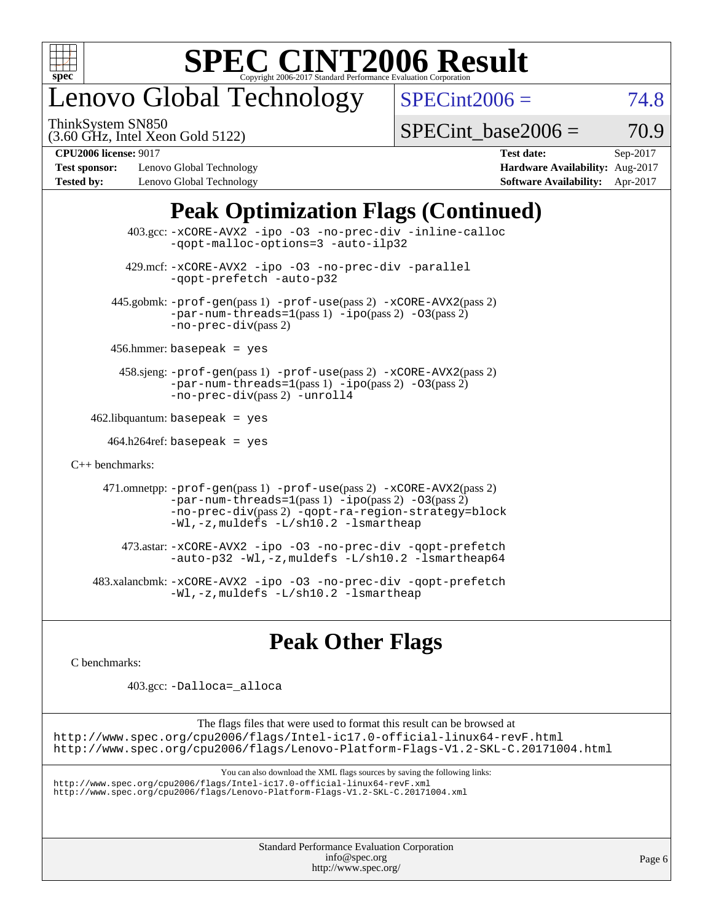

## enovo Global Technology

ThinkSystem SN850

 $SPECint2006 = 74.8$  $SPECint2006 = 74.8$ 

(3.60 GHz, Intel Xeon Gold 5122)

SPECint base2006 =  $70.9$ 

**[Test sponsor:](http://www.spec.org/auto/cpu2006/Docs/result-fields.html#Testsponsor)** Lenovo Global Technology **[Hardware Availability:](http://www.spec.org/auto/cpu2006/Docs/result-fields.html#HardwareAvailability)** Aug-2017 **[Tested by:](http://www.spec.org/auto/cpu2006/Docs/result-fields.html#Testedby)** Lenovo Global Technology **[Software Availability:](http://www.spec.org/auto/cpu2006/Docs/result-fields.html#SoftwareAvailability)** Apr-2017

**[CPU2006 license:](http://www.spec.org/auto/cpu2006/Docs/result-fields.html#CPU2006license)** 9017 **[Test date:](http://www.spec.org/auto/cpu2006/Docs/result-fields.html#Testdate)** Sep-2017

### **[Peak Optimization Flags \(Continued\)](http://www.spec.org/auto/cpu2006/Docs/result-fields.html#PeakOptimizationFlags)**

 403.gcc: [-xCORE-AVX2](http://www.spec.org/cpu2006/results/res2017q4/cpu2006-20170918-50015.flags.html#user_peakOPTIMIZE403_gcc_f-xCORE-AVX2) [-ipo](http://www.spec.org/cpu2006/results/res2017q4/cpu2006-20170918-50015.flags.html#user_peakOPTIMIZE403_gcc_f-ipo) [-O3](http://www.spec.org/cpu2006/results/res2017q4/cpu2006-20170918-50015.flags.html#user_peakOPTIMIZE403_gcc_f-O3) [-no-prec-div](http://www.spec.org/cpu2006/results/res2017q4/cpu2006-20170918-50015.flags.html#user_peakOPTIMIZE403_gcc_f-no-prec-div) [-inline-calloc](http://www.spec.org/cpu2006/results/res2017q4/cpu2006-20170918-50015.flags.html#user_peakCOPTIMIZE403_gcc_f-inline-calloc) [-qopt-malloc-options=3](http://www.spec.org/cpu2006/results/res2017q4/cpu2006-20170918-50015.flags.html#user_peakCOPTIMIZE403_gcc_f-qopt-malloc-options_0fcb435012e78f27d57f473818e45fe4) [-auto-ilp32](http://www.spec.org/cpu2006/results/res2017q4/cpu2006-20170918-50015.flags.html#user_peakCOPTIMIZE403_gcc_f-auto-ilp32) 429.mcf: [-xCORE-AVX2](http://www.spec.org/cpu2006/results/res2017q4/cpu2006-20170918-50015.flags.html#user_peakOPTIMIZE429_mcf_f-xCORE-AVX2) [-ipo](http://www.spec.org/cpu2006/results/res2017q4/cpu2006-20170918-50015.flags.html#user_peakOPTIMIZE429_mcf_f-ipo) [-O3](http://www.spec.org/cpu2006/results/res2017q4/cpu2006-20170918-50015.flags.html#user_peakOPTIMIZE429_mcf_f-O3) [-no-prec-div](http://www.spec.org/cpu2006/results/res2017q4/cpu2006-20170918-50015.flags.html#user_peakOPTIMIZE429_mcf_f-no-prec-div) [-parallel](http://www.spec.org/cpu2006/results/res2017q4/cpu2006-20170918-50015.flags.html#user_peakCOPTIMIZE429_mcf_f-parallel) [-qopt-prefetch](http://www.spec.org/cpu2006/results/res2017q4/cpu2006-20170918-50015.flags.html#user_peakCOPTIMIZE429_mcf_f-qopt-prefetch) [-auto-p32](http://www.spec.org/cpu2006/results/res2017q4/cpu2006-20170918-50015.flags.html#user_peakCOPTIMIZE429_mcf_f-auto-p32) 445.gobmk: [-prof-gen](http://www.spec.org/cpu2006/results/res2017q4/cpu2006-20170918-50015.flags.html#user_peakPASS1_CFLAGSPASS1_LDCFLAGS445_gobmk_prof_gen_e43856698f6ca7b7e442dfd80e94a8fc)(pass 1) [-prof-use](http://www.spec.org/cpu2006/results/res2017q4/cpu2006-20170918-50015.flags.html#user_peakPASS2_CFLAGSPASS2_LDCFLAGS445_gobmk_prof_use_bccf7792157ff70d64e32fe3e1250b55)(pass 2) [-xCORE-AVX2](http://www.spec.org/cpu2006/results/res2017q4/cpu2006-20170918-50015.flags.html#user_peakPASS2_CFLAGSPASS2_LDCFLAGS445_gobmk_f-xCORE-AVX2)(pass 2)  $-par-num-threads=1(pass 1) -ipo(pass 2) -O3(pass 2)$  $-par-num-threads=1(pass 1) -ipo(pass 2) -O3(pass 2)$  $-par-num-threads=1(pass 1) -ipo(pass 2) -O3(pass 2)$  $-par-num-threads=1(pass 1) -ipo(pass 2) -O3(pass 2)$  $-par-num-threads=1(pass 1) -ipo(pass 2) -O3(pass 2)$  $-par-num-threads=1(pass 1) -ipo(pass 2) -O3(pass 2)$ [-no-prec-div](http://www.spec.org/cpu2006/results/res2017q4/cpu2006-20170918-50015.flags.html#user_peakPASS2_CFLAGSPASS2_LDCFLAGS445_gobmk_f-no-prec-div)(pass 2) 456.hmmer: basepeak = yes 458.sjeng: [-prof-gen](http://www.spec.org/cpu2006/results/res2017q4/cpu2006-20170918-50015.flags.html#user_peakPASS1_CFLAGSPASS1_LDCFLAGS458_sjeng_prof_gen_e43856698f6ca7b7e442dfd80e94a8fc)(pass 1) [-prof-use](http://www.spec.org/cpu2006/results/res2017q4/cpu2006-20170918-50015.flags.html#user_peakPASS2_CFLAGSPASS2_LDCFLAGS458_sjeng_prof_use_bccf7792157ff70d64e32fe3e1250b55)(pass 2) [-xCORE-AVX2](http://www.spec.org/cpu2006/results/res2017q4/cpu2006-20170918-50015.flags.html#user_peakPASS2_CFLAGSPASS2_LDCFLAGS458_sjeng_f-xCORE-AVX2)(pass 2) [-par-num-threads=1](http://www.spec.org/cpu2006/results/res2017q4/cpu2006-20170918-50015.flags.html#user_peakPASS1_CFLAGSPASS1_LDCFLAGS458_sjeng_par_num_threads_786a6ff141b4e9e90432e998842df6c2)(pass 1) [-ipo](http://www.spec.org/cpu2006/results/res2017q4/cpu2006-20170918-50015.flags.html#user_peakPASS2_CFLAGSPASS2_LDCFLAGS458_sjeng_f-ipo)(pass 2) [-O3](http://www.spec.org/cpu2006/results/res2017q4/cpu2006-20170918-50015.flags.html#user_peakPASS2_CFLAGSPASS2_LDCFLAGS458_sjeng_f-O3)(pass 2) [-no-prec-div](http://www.spec.org/cpu2006/results/res2017q4/cpu2006-20170918-50015.flags.html#user_peakPASS2_CFLAGSPASS2_LDCFLAGS458_sjeng_f-no-prec-div)(pass 2) [-unroll4](http://www.spec.org/cpu2006/results/res2017q4/cpu2006-20170918-50015.flags.html#user_peakCOPTIMIZE458_sjeng_f-unroll_4e5e4ed65b7fd20bdcd365bec371b81f)  $462$ .libquantum: basepeak = yes  $464.h264$ ref: basepeak = yes [C++ benchmarks:](http://www.spec.org/auto/cpu2006/Docs/result-fields.html#CXXbenchmarks) 471.omnetpp: [-prof-gen](http://www.spec.org/cpu2006/results/res2017q4/cpu2006-20170918-50015.flags.html#user_peakPASS1_CXXFLAGSPASS1_LDCXXFLAGS471_omnetpp_prof_gen_e43856698f6ca7b7e442dfd80e94a8fc)(pass 1) [-prof-use](http://www.spec.org/cpu2006/results/res2017q4/cpu2006-20170918-50015.flags.html#user_peakPASS2_CXXFLAGSPASS2_LDCXXFLAGS471_omnetpp_prof_use_bccf7792157ff70d64e32fe3e1250b55)(pass 2) [-xCORE-AVX2](http://www.spec.org/cpu2006/results/res2017q4/cpu2006-20170918-50015.flags.html#user_peakPASS2_CXXFLAGSPASS2_LDCXXFLAGS471_omnetpp_f-xCORE-AVX2)(pass 2)  $-par-num-threads=1(pass 1) -ipo(pass 2) -O3(pass 2)$  $-par-num-threads=1(pass 1) -ipo(pass 2) -O3(pass 2)$  $-par-num-threads=1(pass 1) -ipo(pass 2) -O3(pass 2)$  $-par-num-threads=1(pass 1) -ipo(pass 2) -O3(pass 2)$  $-par-num-threads=1(pass 1) -ipo(pass 2) -O3(pass 2)$  $-par-num-threads=1(pass 1) -ipo(pass 2) -O3(pass 2)$ [-no-prec-div](http://www.spec.org/cpu2006/results/res2017q4/cpu2006-20170918-50015.flags.html#user_peakPASS2_CXXFLAGSPASS2_LDCXXFLAGS471_omnetpp_f-no-prec-div)(pass 2) [-qopt-ra-region-strategy=block](http://www.spec.org/cpu2006/results/res2017q4/cpu2006-20170918-50015.flags.html#user_peakCXXOPTIMIZE471_omnetpp_f-qopt-ra-region-strategy_0f7b543d62da454b380160c0e3b28f94) [-Wl,-z,muldefs](http://www.spec.org/cpu2006/results/res2017q4/cpu2006-20170918-50015.flags.html#user_peakEXTRA_LDFLAGS471_omnetpp_link_force_multiple1_74079c344b956b9658436fd1b6dd3a8a) [-L/sh10.2 -lsmartheap](http://www.spec.org/cpu2006/results/res2017q4/cpu2006-20170918-50015.flags.html#user_peakEXTRA_LIBS471_omnetpp_SmartHeap_b831f2d313e2fffa6dfe3f00ffc1f1c0) 473.astar: [-xCORE-AVX2](http://www.spec.org/cpu2006/results/res2017q4/cpu2006-20170918-50015.flags.html#user_peakOPTIMIZE473_astar_f-xCORE-AVX2) [-ipo](http://www.spec.org/cpu2006/results/res2017q4/cpu2006-20170918-50015.flags.html#user_peakOPTIMIZE473_astar_f-ipo) [-O3](http://www.spec.org/cpu2006/results/res2017q4/cpu2006-20170918-50015.flags.html#user_peakOPTIMIZE473_astar_f-O3) [-no-prec-div](http://www.spec.org/cpu2006/results/res2017q4/cpu2006-20170918-50015.flags.html#user_peakOPTIMIZE473_astar_f-no-prec-div) [-qopt-prefetch](http://www.spec.org/cpu2006/results/res2017q4/cpu2006-20170918-50015.flags.html#user_peakCXXOPTIMIZE473_astar_f-qopt-prefetch) [-auto-p32](http://www.spec.org/cpu2006/results/res2017q4/cpu2006-20170918-50015.flags.html#user_peakCXXOPTIMIZE473_astar_f-auto-p32) [-Wl,-z,muldefs](http://www.spec.org/cpu2006/results/res2017q4/cpu2006-20170918-50015.flags.html#user_peakEXTRA_LDFLAGS473_astar_link_force_multiple1_74079c344b956b9658436fd1b6dd3a8a) [-L/sh10.2 -lsmartheap64](http://www.spec.org/cpu2006/results/res2017q4/cpu2006-20170918-50015.flags.html#user_peakEXTRA_LIBS473_astar_SmartHeap64_63911d860fc08c15fa1d5bf319b9d8d5) 483.xalancbmk: [-xCORE-AVX2](http://www.spec.org/cpu2006/results/res2017q4/cpu2006-20170918-50015.flags.html#user_peakOPTIMIZE483_xalancbmk_f-xCORE-AVX2) [-ipo](http://www.spec.org/cpu2006/results/res2017q4/cpu2006-20170918-50015.flags.html#user_peakOPTIMIZE483_xalancbmk_f-ipo) [-O3](http://www.spec.org/cpu2006/results/res2017q4/cpu2006-20170918-50015.flags.html#user_peakOPTIMIZE483_xalancbmk_f-O3) [-no-prec-div](http://www.spec.org/cpu2006/results/res2017q4/cpu2006-20170918-50015.flags.html#user_peakOPTIMIZE483_xalancbmk_f-no-prec-div) [-qopt-prefetch](http://www.spec.org/cpu2006/results/res2017q4/cpu2006-20170918-50015.flags.html#user_peakCXXOPTIMIZE483_xalancbmk_f-qopt-prefetch) [-Wl,-z,muldefs](http://www.spec.org/cpu2006/results/res2017q4/cpu2006-20170918-50015.flags.html#user_peakEXTRA_LDFLAGS483_xalancbmk_link_force_multiple1_74079c344b956b9658436fd1b6dd3a8a) [-L/sh10.2 -lsmartheap](http://www.spec.org/cpu2006/results/res2017q4/cpu2006-20170918-50015.flags.html#user_peakEXTRA_LIBS483_xalancbmk_SmartHeap_b831f2d313e2fffa6dfe3f00ffc1f1c0)

### **[Peak Other Flags](http://www.spec.org/auto/cpu2006/Docs/result-fields.html#PeakOtherFlags)**

[C benchmarks](http://www.spec.org/auto/cpu2006/Docs/result-fields.html#Cbenchmarks):

403.gcc: [-Dalloca=\\_alloca](http://www.spec.org/cpu2006/results/res2017q4/cpu2006-20170918-50015.flags.html#b403.gcc_peakEXTRA_CFLAGS_Dalloca_be3056838c12de2578596ca5467af7f3)

The flags files that were used to format this result can be browsed at <http://www.spec.org/cpu2006/flags/Intel-ic17.0-official-linux64-revF.html> <http://www.spec.org/cpu2006/flags/Lenovo-Platform-Flags-V1.2-SKL-C.20171004.html>

You can also download the XML flags sources by saving the following links:

<http://www.spec.org/cpu2006/flags/Intel-ic17.0-official-linux64-revF.xml> <http://www.spec.org/cpu2006/flags/Lenovo-Platform-Flags-V1.2-SKL-C.20171004.xml>